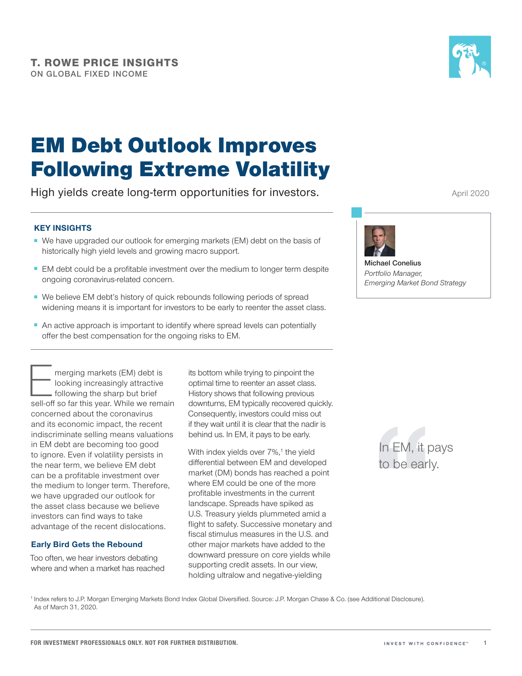

# EM Debt Outlook Improves Following Extreme Volatility

High yields create long-term opportunities for investors.

# **KEY INSIGHTS**

- We have upgraded our outlook for emerging markets (EM) debt on the basis of historically high yield levels and growing macro support.
- EM debt could be a profitable investment over the medium to longer term despite ongoing coronavirus-related concern.
- We believe EM debt's history of quick rebounds following periods of spread widening means it is important for investors to be early to reenter the asset class.
- An active approach is important to identify where spread levels can potentially offer the best compensation for the ongoing risks to EM.

merging markets (EM) debt is<br>
looking increasingly attractive<br>
following the sharp but brief<br>
sell-off so far this year. While we remain looking increasingly attractive following the sharp but brief concerned about the coronavirus and its economic impact, the recent indiscriminate selling means valuations in EM debt are becoming too good to ignore. Even if volatility persists in the near term, we believe EM debt can be a profitable investment over the medium to longer term. Therefore, we have upgraded our outlook for the asset class because we believe investors can find ways to take advantage of the recent dislocations.

# **Early Bird Gets the Rebound**

Too often, we hear investors debating where and when a market has reached its bottom while trying to pinpoint the optimal time to reenter an asset class. History shows that following previous downturns, EM typically recovered quickly. Consequently, investors could miss out if they wait until it is clear that the nadir is behind us. In EM, it pays to be early.

With index yields over 7%,<sup>1</sup> the yield differential between EM and developed market (DM) bonds has reached a point where EM could be one of the more profitable investments in the current landscape. Spreads have spiked as U.S. Treasury yields plummeted amid a flight to safety. Successive monetary and fiscal stimulus measures in the U.S. and other major markets have added to the downward pressure on core yields while supporting credit assets. In our view, holding ultralow and negative-yielding

April 2020



**Michael Conelius** *Portfolio Manager, Emerging Market Bond Strategy*

> In EM, it pays to be early.

<sup>1</sup> Index refers to J.P. Morgan Emerging Markets Bond Index Global Diversified. Source: J.P. Morgan Chase & Co. (see Additional Disclosure). As of March 31, 2020.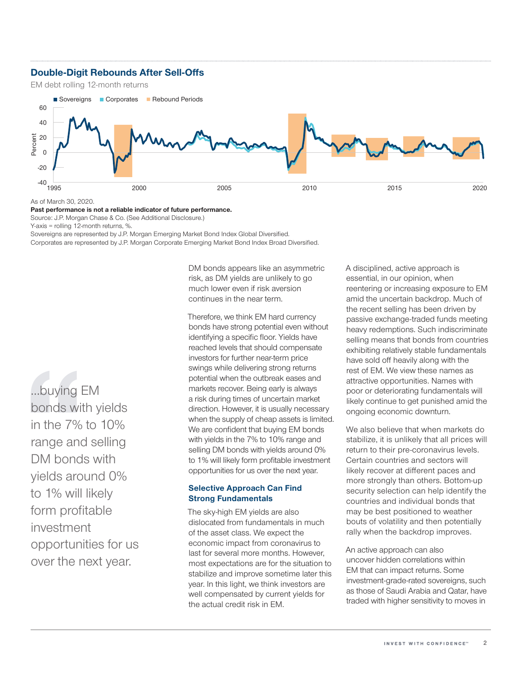# **Double-Digit Rebounds After Sell-Offs**

EM debt rolling 12-month returns



As of March 30, 2020.

#### **Past performance is not a reliable indicator of future performance.**

Source: J.P. Morgan Chase & Co. (See Additional Disclosure.)

Y-axis = rolling 12-month returns, %.

Sovereigns are represented by J.P. Morgan Emerging Market Bond Index Global Diversified. Corporates are represented by J.P. Morgan Corporate Emerging Market Bond Index Broad Diversified.

…buying EM bonds with yields in the 7% to 10% range and selling DM bonds with yields around 0% to 1% will likely form profitable investment opportunities for us over the next year.

DM bonds appears like an asymmetric risk, as DM yields are unlikely to go much lower even if risk aversion continues in the near term.

Therefore, we think EM hard currency bonds have strong potential even without identifying a specific floor. Yields have reached levels that should compensate investors for further near-term price swings while delivering strong returns potential when the outbreak eases and markets recover. Being early is always a risk during times of uncertain market direction. However, it is usually necessary when the supply of cheap assets is limited. We are confident that buying EM bonds with yields in the 7% to 10% range and selling DM bonds with yields around 0% to 1% will likely form profitable investment opportunities for us over the next year.

### **Selective Approach Can Find Strong Fundamentals**

The sky-high EM yields are also dislocated from fundamentals in much of the asset class. We expect the economic impact from coronavirus to last for several more months. However, most expectations are for the situation to stabilize and improve sometime later this year. In this light, we think investors are well compensated by current yields for the actual credit risk in EM.

A disciplined, active approach is essential, in our opinion, when reentering or increasing exposure to EM amid the uncertain backdrop. Much of the recent selling has been driven by passive exchange-traded funds meeting heavy redemptions. Such indiscriminate selling means that bonds from countries exhibiting relatively stable fundamentals have sold off heavily along with the rest of EM. We view these names as attractive opportunities. Names with poor or deteriorating fundamentals will likely continue to get punished amid the ongoing economic downturn.

We also believe that when markets do stabilize, it is unlikely that all prices will return to their pre-coronavirus levels. Certain countries and sectors will likely recover at different paces and more strongly than others. Bottom-up security selection can help identify the countries and individual bonds that may be best positioned to weather bouts of volatility and then potentially rally when the backdrop improves.

An active approach can also uncover hidden correlations within EM that can impact returns. Some investment-grade-rated sovereigns, such as those of Saudi Arabia and Qatar, have traded with higher sensitivity to moves in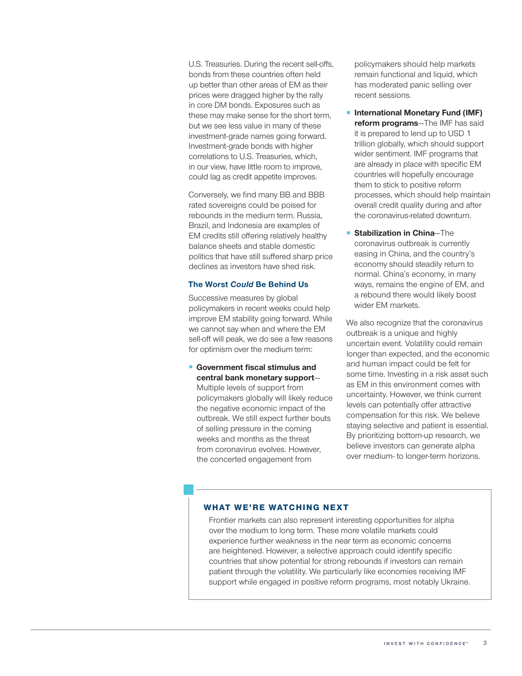U.S. Treasuries. During the recent sell-offs, bonds from these countries often held up better than other areas of EM as their prices were dragged higher by the rally in core DM bonds. Exposures such as these may make sense for the short term, but we see less value in many of these investment-grade names going forward. Investment-grade bonds with higher correlations to U.S. Treasuries, which, in our view, have little room to improve, could lag as credit appetite improves.

Conversely, we find many BB and BBB rated sovereigns could be poised for rebounds in the medium term. Russia, Brazil, and Indonesia are examples of EM credits still offering relatively healthy balance sheets and stable domestic politics that have still suffered sharp price declines as investors have shed risk.

#### **The Worst** *Could* **Be Behind Us**

Successive measures by global policymakers in recent weeks could help improve EM stability going forward. While we cannot say when and where the EM sell-off will peak, we do see a few reasons for optimism over the medium term:

■ **Government fiscal stimulus and central bank monetary support**— Multiple levels of support from policymakers globally will likely reduce

the negative economic impact of the outbreak. We still expect further bouts of selling pressure in the coming weeks and months as the threat from coronavirus evolves. However, the concerted engagement from

policymakers should help markets remain functional and liquid, which has moderated panic selling over recent sessions.

■ **International Monetary Fund (IMF) reform programs**—The IMF has said it is prepared to lend up to USD 1 trillion globally, which should support wider sentiment. IMF programs that are already in place with specific EM countries will hopefully encourage them to stick to positive reform processes, which should help maintain overall credit quality during and after the coronavirus-related downturn.

**Stabilization in China**—The coronavirus outbreak is currently easing in China, and the country's economy should steadily return to normal. China's economy, in many ways, remains the engine of EM, and a rebound there would likely boost wider EM markets.

We also recognize that the coronavirus outbreak is a unique and highly uncertain event. Volatility could remain longer than expected, and the economic and human impact could be felt for some time. Investing in a risk asset such as EM in this environment comes with uncertainty. However, we think current levels can potentially offer attractive compensation for this risk. We believe staying selective and patient is essential. By prioritizing bottom-up research, we believe investors can generate alpha over medium- to longer-term horizons.

# **WHAT WE'RE WATCHING NEXT**

Frontier markets can also represent interesting opportunities for alpha over the medium to long term. These more volatile markets could experience further weakness in the near term as economic concerns are heightened. However, a selective approach could identify specific countries that show potential for strong rebounds if investors can remain patient through the volatility. We particularly like economies receiving IMF support while engaged in positive reform programs, most notably Ukraine.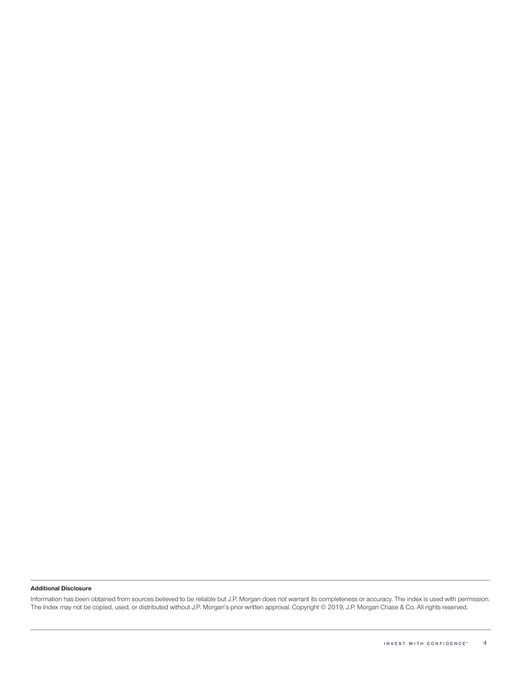#### **Additional Disclosure**

Information has been obtained from sources believed to be reliable but J.P. Morgan does not warrant its completeness or accuracy. The index is used with permission. The Index may not be copied, used, or distributed without J.P. Morgan's prior written approval. Copyright © 2019, J.P. Morgan Chase & Co. All rights reserved.